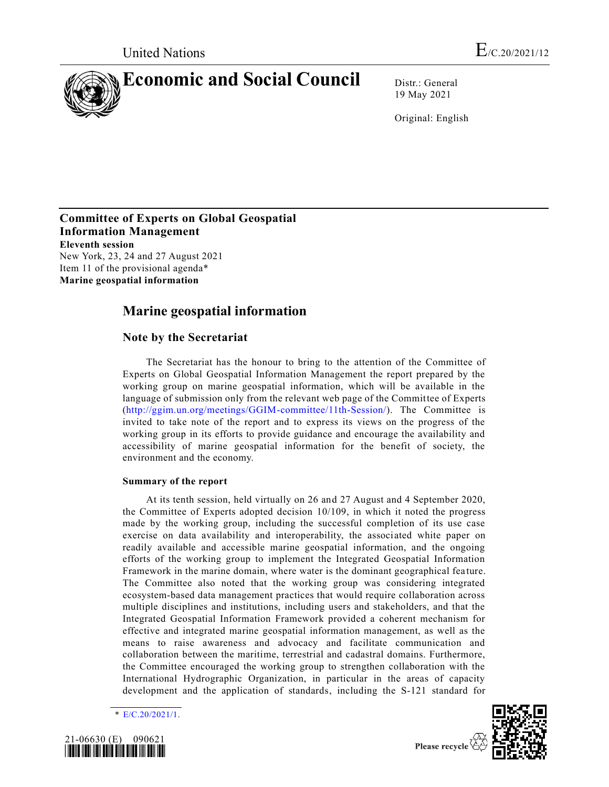

19 May 2021

Original: English

## **Committee of Experts on Global Geospatial Information Management Eleventh session**

New York, 23, 24 and 27 August 2021 Item 11 of the provisional agenda\* **Marine geospatial information**

## **Marine geospatial information**

## **Note by the Secretariat**

The Secretariat has the honour to bring to the attention of the Committee of Experts on Global Geospatial Information Management the report prepared by the working group on marine geospatial information, which will be available in the language of submission only from the relevant web page of the Committee of Experts [\(http://ggim.un.org/meetings/GGIM-committee/11th-Session/\)](http://ggim.un.org/meetings/GGIM-committee/11th-Session/). The Committee is invited to take note of the report and to express its views on the progress of the working group in its efforts to provide guidance and encourage the availability and accessibility of marine geospatial information for the benefit of society, the environment and the economy.

## **Summary of the report**

At its tenth session, held virtually on 26 and 27 August and 4 September 2020, the Committee of Experts adopted decision 10/109, in which it noted the progress made by the working group, including the successful completion of its use case exercise on data availability and interoperability, the associated white paper on readily available and accessible marine geospatial information, and the ongoing efforts of the working group to implement the Integrated Geospatial Information Framework in the marine domain, where water is the dominant geographical fea ture. The Committee also noted that the working group was considering integrated ecosystem-based data management practices that would require collaboration across multiple disciplines and institutions, including users and stakeholders, and that the Integrated Geospatial Information Framework provided a coherent mechanism for effective and integrated marine geospatial information management, as well as the means to raise awareness and advocacy and facilitate communication and collaboration between the maritime, terrestrial and cadastral domains. Furthermore, the Committee encouraged the working group to strengthen collaboration with the International Hydrographic Organization, in particular in the areas of capacity development and the application of standards, including the S-121 standard for